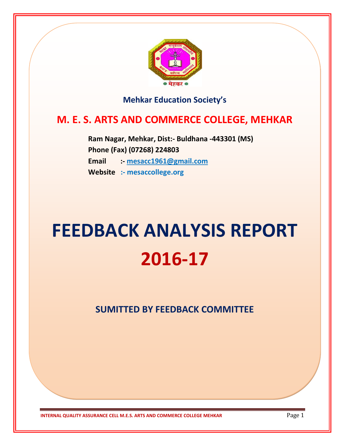

### **Mehkar Education Society's**

# **M. E. S. ARTS AND COMMERCE COLLEGE, MEHKAR**

 **Ram Nagar, Mehkar, Dist:- Buldhana -443301 (MS) Phone (Fax) (07268) 224803 Email :- [mesacc1961@gmail.com](mailto:mesacc1961@gmail.com) Website :- mesaccollege.org**

# **FEEDBACK ANALYSIS REPORT 2016-17**

**SUMITTED BY FEEDBACK COMMITTEE**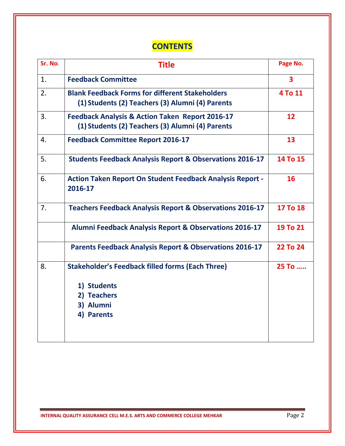# **CONTENTS**

| Sr. No. | <b>Title</b>                                                                                                   | Page No.                |
|---------|----------------------------------------------------------------------------------------------------------------|-------------------------|
| 1.      | <b>Feedback Committee</b>                                                                                      | $\overline{\mathbf{3}}$ |
| 2.      | <b>Blank Feedback Forms for different Stakeholders</b><br>(1) Students (2) Teachers (3) Alumni (4) Parents     | 4 To 11                 |
| 3.      | <b>Feedback Analysis &amp; Action Taken Report 2016-17</b><br>(1) Students (2) Teachers (3) Alumni (4) Parents | 12                      |
| 4.      | <b>Feedback Committee Report 2016-17</b>                                                                       | 13                      |
| 5.      | <b>Students Feedback Analysis Report &amp; Observations 2016-17</b>                                            | 14 To 15                |
| 6.      | <b>Action Taken Report On Student Feedback Analysis Report -</b><br>2016-17                                    | 16                      |
| 7.      | <b>Teachers Feedback Analysis Report &amp; Observations 2016-17</b>                                            | 17 To 18                |
|         | <b>Alumni Feedback Analysis Report &amp; Observations 2016-17</b>                                              | 19 To 21                |
|         | <b>Parents Feedback Analysis Report &amp; Observations 2016-17</b>                                             | <b>22 To 24</b>         |
| 8.      | <b>Stakeholder's Feedback filled forms (Each Three)</b>                                                        | 25 To                   |
|         | 1) Students                                                                                                    |                         |
|         | 2) Teachers                                                                                                    |                         |
|         | 3) Alumni                                                                                                      |                         |
|         | 4) Parents                                                                                                     |                         |
|         |                                                                                                                |                         |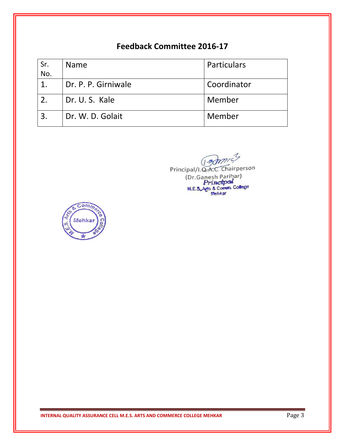### **Feedback Committee 2016-17**

| Sr. | Name                | Particulars |
|-----|---------------------|-------------|
| No. |                     |             |
|     | Dr. P. P. Girniwale | Coordinator |
|     | Dr. U. S. Kale      | Member      |
| 3.  | Dr. W. D. Golait    | Member      |

Principal/I.Q.A.C. Chairperson (Dr.Ganesh Parihar)<br>Principal<br>M.E.S.Arts & Comm. College

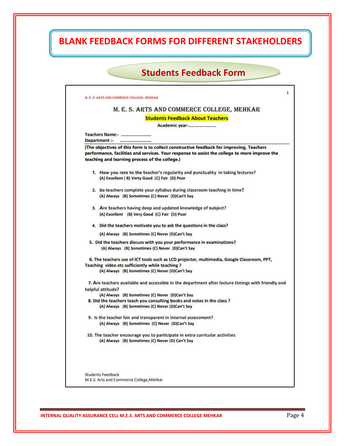# **BLANK FEEDBACK FORMS FOR DIFFERENT STAKEHOLDERS**

### **Students Feedback Form**

| M. E. S. ARTS AND COMMERCE COLLEGE, MEHKAR                                                                                                                                                                                                  |
|---------------------------------------------------------------------------------------------------------------------------------------------------------------------------------------------------------------------------------------------|
| <b>Students Feedback About Teachers</b>                                                                                                                                                                                                     |
| Academic year-                                                                                                                                                                                                                              |
| Teachers Name:-<br>Department :-<br>                                                                                                                                                                                                        |
| (The objectives of this form is to collect constructive feedback for improving, Teachers<br>performance, facilities and services. Your response to assist the college to more improve the<br>teaching and learning process of the college.) |
| 1. How you rate to the teacher's regularity and punctuality in taking lectures?<br>(A) Excellent (B) Verty Good (C) Fair (D) Poor                                                                                                           |
| 2. Do teachers complete your syllabus during classroom teaching in time?<br>(A) Always (B) Sometimes (C) Never (D)Can't Say                                                                                                                 |
| 3. Are teachers having deep and updated knowledge of subject?<br>(A) Excellent (B) Very Good (C) Fair (D) Poor                                                                                                                              |
| 4. Did the teachers motivate you to ask the questions in the class?                                                                                                                                                                         |
| (A) Always (B) Sometimes (C) Never (D)Can't Say                                                                                                                                                                                             |
| 5. Did the teachers discuss with you your performance in examinations?<br>(A) Always (B) Sometimes (C) Never (D)Can't Say                                                                                                                   |
| 6. The teachers use of ICT tools such as LCD projector, multimedia, Google Classroom, PPT,<br>Teaching video etc sufficiently while teaching?<br>(A) Always (B) Sometimes (C) Never (D)Can't Say                                            |
| 7. Are teachers available and accessible in the department after lecture timings with friendly and                                                                                                                                          |
| helpful attitude?                                                                                                                                                                                                                           |
| (A) Always (B) Sometimes (C) Never (D)Can't Say<br>8. Did the teachers teach you consulting books and notes in the class ?                                                                                                                  |
| (A) Always (B) Sometimes (C) Never (D)Can't Say                                                                                                                                                                                             |
| 9. Is the teacher fair and transparent in internal assessment?<br>(A) Always (B) Sometimes (C) Never (D)Can't Say                                                                                                                           |
| 10. The teacher encourage you to participate in extra curricular activities<br>(A) Always (B) Sometimes (C) Never (D) Can't Say                                                                                                             |
|                                                                                                                                                                                                                                             |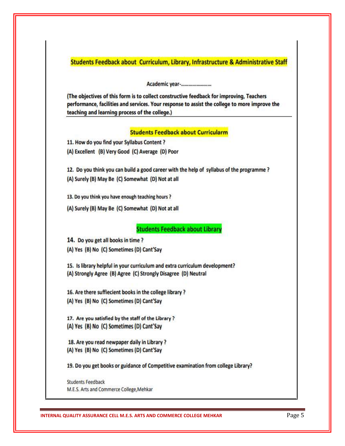Students Feedback about Curriculum, Library, Infrastructure & Administrative Staff

Academic year-........................

(The objectives of this form is to collect constructive feedback for improving, Teachers performance, facilities and services. Your response to assist the college to more improve the teaching and learning process of the college.)

#### **Students Feedback about Curricularm**

11. How do you find your Syllabus Content?

(A) Excellent (B) Very Good (C) Average (D) Poor

12. Do you think you can build a good career with the help of syllabus of the programme? (A) Surely (B) May Be (C) Somewhat (D) Not at all

13. Do you think you have enough teaching hours?

(A) Surely (B) May Be (C) Somewhat (D) Not at all

**Students Feedback about Library** 

14. Do you get all books in time?

(A) Yes (B) No (C) Sometimes (D) Cant'Say

15. Is library helpful in your curriculum and extra curriculum development? (A) Strongly Agree (B) Agree (C) Strongly Disagree (D) Neutral

16. Are there suffiecient books in the college library ? (A) Yes (B) No (C) Sometimes (D) Cant'Say

17. Are you satisfied by the staff of the Library?

(A) Yes (B) No (C) Sometimes (D) Cant'Say

18. Are you read newpaper daily in Library? (A) Yes (B) No (C) Sometimes (D) Cant'Say

19. Do you get books or guidance of Competitive examination from college Library?

**Students Feedback** M.E.S. Arts and Commerce College, Mehkar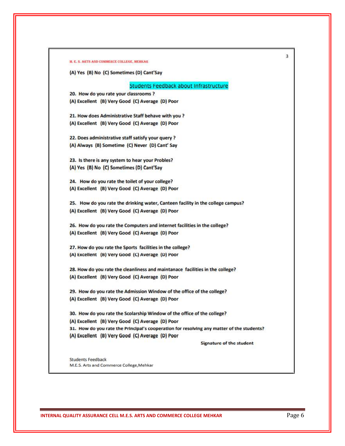| (A) Yes (B) No (C) Sometimes (D) Cant'Say                                                 |
|-------------------------------------------------------------------------------------------|
|                                                                                           |
| Students Feedback about Infrastructure                                                    |
| 20. How do you rate your classrooms ?                                                     |
| (A) Excellent (B) Very Good (C) Average (D) Poor                                          |
| 21. How does Administrative Staff behave with you ?                                       |
| (A) Excellent (B) Very Good (C) Average (D) Poor                                          |
| 22. Does administrative staff satisfy your query ?                                        |
| (A) Always (B) Sometime (C) Never (D) Cant' Say                                           |
| 23. Is there is any system to hear your Probles?                                          |
| (A) Yes (B) No (C) Sometimes (D) Cant'Say                                                 |
| 24. How do you rate the toilet of your college?                                           |
| (A) Excellent (B) Very Good (C) Average (D) Poor                                          |
|                                                                                           |
| 25. How do you rate the drinking water, Canteen facility in the college campus?           |
| (A) Excellent (B) Very Good (C) Average (D) Poor                                          |
| 26. How do you rate the Computers and internet facilities in the college?                 |
| (A) Excellent (B) Very Good (C) Average (D) Poor                                          |
| 27. How do you rate the Sports facilities in the college?                                 |
| (A) Excellent (B) Very Good (C) Average (D) Poor                                          |
| 28. How do you rate the cleanliness and maintanace facilities in the college?             |
| (A) Excellent (B) Very Good (C) Average (D) Poor                                          |
| 29. How do you rate the Admission Window of the office of the college?                    |
| (A) Excellent (B) Very Good (C) Average (D) Poor                                          |
| 30. How do you rate the Scolarship Window of the office of the college?                   |
| (A) Excellent (B) Very Good (C) Average (D) Poor                                          |
| 31. How do you rate the Principal's cooperation for resolving any matter of the students? |
| (A) Excellent (B) Very Good (C) Average (D) Poor                                          |
| <b>Signature of the student</b>                                                           |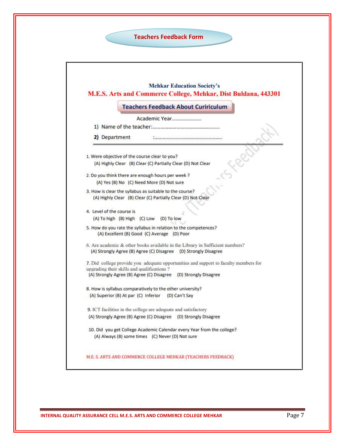

|                                                           | <b>Teachers Feedback About Cuririculum</b>                                                                     |
|-----------------------------------------------------------|----------------------------------------------------------------------------------------------------------------|
|                                                           | Academic Year                                                                                                  |
|                                                           |                                                                                                                |
| 2) Department                                             |                                                                                                                |
| 1. Were objective of the course clear to you?             |                                                                                                                |
|                                                           | (A) Highly Clear (B) Clear (C) Partially Clear (D) Not Clear                                                   |
| 2. Do you think there are enough hours per week ?         |                                                                                                                |
| (A) Yes (B) No (C) Need More (D) Not sure                 |                                                                                                                |
| 3. How is clear the syllabus as suitable to the course?   | (A) Highly Clear (B) Clear (C) Partially Clear (D) Not Clear                                                   |
| 4. Level of the course is<br>(A) To high (B) High (C) Low | (D) To low                                                                                                     |
|                                                           | 5. How do you rate the syllabus in relation to the competences?<br>(A) Excellent (B) Good (C) Average (D) Poor |
|                                                           | 6. Are academic & other books available in the Library in Sufficient numbers?                                  |
|                                                           | (A) Strongly Agree (B) Agree (C) Disagree (D) Strongly Disagree                                                |
| upgrading their skills and qualifications?                | 7. Did college provide you adequate opportunities and support to faculty members for                           |
|                                                           | (A) Strongly Agree (B) Agree (C) Disagree (D) Strongly Disagree                                                |
|                                                           | 8. How is syllabus comparatively to the other university?                                                      |
| (A) Superior (B) At par (C) Inferior                      | (D) Can't Say                                                                                                  |
|                                                           | 9. ICT facilities in the college are adequate and satisfactory                                                 |
|                                                           | (A) Strongly Agree (B) Agree (C) Disagree (D) Strongly Disagree                                                |
|                                                           | 10. Did you get College Academic Calendar every Year from the college?                                         |
|                                                           | (A) Always (B) some times (C) Never (D) Not sure                                                               |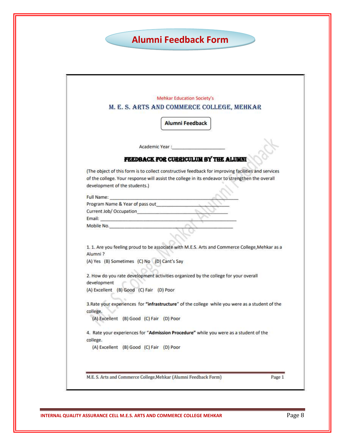# **Alumni Feedback Form**

| M. E. S. ARTS AND COMMERCE COLLEGE, MEHKAR<br><b>Alumni Feedback</b><br>Academic Year :<br>FEEDBACK FOR CURRICULUM BY THE ALUMNI<br>(The object of this form is to collect constructive feedback for improving facilities and services<br>of the college. Your response will assist the college in its endeavor to strengthen the overall<br>development of the students.)<br>Full Name:<br>Program Name & Year of pass out<br>Current Job/ Occupation<br>Mobile No.<br>1. 1. Are you feeling proud to be associate with M.E.S. Arts and Commerce College, Mehkar as a<br>(A) Yes (B) Sometimes (C) No (D) Cant's Say<br>2. How do you rate development activities organized by the college for your overall<br>(A) Excellent (B) Good (C) Fair (D) Poor<br>3. Rate your experiences for "infrastructure" of the college while you were as a student of the<br>(A) Excellent (B) Good (C) Fair (D) Poor<br>4. Rate your experiences for "Admission Procedure" while you were as a student of the |             | Mehkar Education Society's |
|--------------------------------------------------------------------------------------------------------------------------------------------------------------------------------------------------------------------------------------------------------------------------------------------------------------------------------------------------------------------------------------------------------------------------------------------------------------------------------------------------------------------------------------------------------------------------------------------------------------------------------------------------------------------------------------------------------------------------------------------------------------------------------------------------------------------------------------------------------------------------------------------------------------------------------------------------------------------------------------------------|-------------|----------------------------|
|                                                                                                                                                                                                                                                                                                                                                                                                                                                                                                                                                                                                                                                                                                                                                                                                                                                                                                                                                                                                  |             |                            |
|                                                                                                                                                                                                                                                                                                                                                                                                                                                                                                                                                                                                                                                                                                                                                                                                                                                                                                                                                                                                  |             |                            |
|                                                                                                                                                                                                                                                                                                                                                                                                                                                                                                                                                                                                                                                                                                                                                                                                                                                                                                                                                                                                  |             |                            |
|                                                                                                                                                                                                                                                                                                                                                                                                                                                                                                                                                                                                                                                                                                                                                                                                                                                                                                                                                                                                  |             |                            |
|                                                                                                                                                                                                                                                                                                                                                                                                                                                                                                                                                                                                                                                                                                                                                                                                                                                                                                                                                                                                  |             |                            |
|                                                                                                                                                                                                                                                                                                                                                                                                                                                                                                                                                                                                                                                                                                                                                                                                                                                                                                                                                                                                  |             |                            |
|                                                                                                                                                                                                                                                                                                                                                                                                                                                                                                                                                                                                                                                                                                                                                                                                                                                                                                                                                                                                  |             |                            |
|                                                                                                                                                                                                                                                                                                                                                                                                                                                                                                                                                                                                                                                                                                                                                                                                                                                                                                                                                                                                  |             |                            |
|                                                                                                                                                                                                                                                                                                                                                                                                                                                                                                                                                                                                                                                                                                                                                                                                                                                                                                                                                                                                  |             |                            |
|                                                                                                                                                                                                                                                                                                                                                                                                                                                                                                                                                                                                                                                                                                                                                                                                                                                                                                                                                                                                  |             |                            |
|                                                                                                                                                                                                                                                                                                                                                                                                                                                                                                                                                                                                                                                                                                                                                                                                                                                                                                                                                                                                  |             |                            |
|                                                                                                                                                                                                                                                                                                                                                                                                                                                                                                                                                                                                                                                                                                                                                                                                                                                                                                                                                                                                  |             |                            |
|                                                                                                                                                                                                                                                                                                                                                                                                                                                                                                                                                                                                                                                                                                                                                                                                                                                                                                                                                                                                  |             |                            |
|                                                                                                                                                                                                                                                                                                                                                                                                                                                                                                                                                                                                                                                                                                                                                                                                                                                                                                                                                                                                  |             |                            |
|                                                                                                                                                                                                                                                                                                                                                                                                                                                                                                                                                                                                                                                                                                                                                                                                                                                                                                                                                                                                  | Alumni?     |                            |
|                                                                                                                                                                                                                                                                                                                                                                                                                                                                                                                                                                                                                                                                                                                                                                                                                                                                                                                                                                                                  |             |                            |
|                                                                                                                                                                                                                                                                                                                                                                                                                                                                                                                                                                                                                                                                                                                                                                                                                                                                                                                                                                                                  | development |                            |
|                                                                                                                                                                                                                                                                                                                                                                                                                                                                                                                                                                                                                                                                                                                                                                                                                                                                                                                                                                                                  |             |                            |
|                                                                                                                                                                                                                                                                                                                                                                                                                                                                                                                                                                                                                                                                                                                                                                                                                                                                                                                                                                                                  | college.    |                            |
|                                                                                                                                                                                                                                                                                                                                                                                                                                                                                                                                                                                                                                                                                                                                                                                                                                                                                                                                                                                                  |             |                            |
|                                                                                                                                                                                                                                                                                                                                                                                                                                                                                                                                                                                                                                                                                                                                                                                                                                                                                                                                                                                                  |             |                            |
| (A) Excellent (B) Good (C) Fair (D) Poor                                                                                                                                                                                                                                                                                                                                                                                                                                                                                                                                                                                                                                                                                                                                                                                                                                                                                                                                                         | college.    |                            |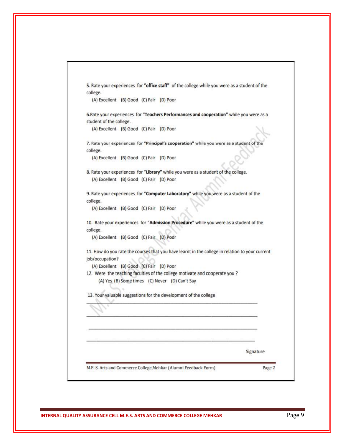| college.                                 |  |                                                                             | 5. Rate your experiences for "office staff" of the college while you were as a student of the   |
|------------------------------------------|--|-----------------------------------------------------------------------------|-------------------------------------------------------------------------------------------------|
| (A) Excellent (B) Good (C) Fair (D) Poor |  |                                                                             |                                                                                                 |
|                                          |  |                                                                             | 6. Rate your experiences for "Teachers Performances and cooperation" while you were as a        |
| student of the college.                  |  |                                                                             |                                                                                                 |
| (A) Excellent (B) Good (C) Fair (D) Poor |  |                                                                             |                                                                                                 |
|                                          |  |                                                                             | 7. Rate your experiences for "Principal's cooperation" while you were as a student of the       |
| college.                                 |  |                                                                             |                                                                                                 |
| (A) Excellent (B) Good (C) Fair (D) Poor |  |                                                                             |                                                                                                 |
|                                          |  |                                                                             | 8. Rate your experiences for "Library" while you were as a student of the college.              |
| (A) Excellent (B) Good (C) Fair (D) Poor |  |                                                                             |                                                                                                 |
|                                          |  |                                                                             | 9. Rate your experiences for "Computer Laboratory" while you were as a student of the           |
| college.                                 |  |                                                                             |                                                                                                 |
| (A) Excellent (B) Good (C) Fair (D) Poor |  |                                                                             |                                                                                                 |
|                                          |  |                                                                             | 10. Rate your experiences for "Admission Procedure" while you were as a student of the          |
| college.                                 |  |                                                                             |                                                                                                 |
| (A) Excellent (B) Good (C) Fair (D) Poor |  |                                                                             |                                                                                                 |
|                                          |  |                                                                             | 11. How do you rate the courses that you have learnt in the college in relation to your current |
| job/occupation?                          |  |                                                                             |                                                                                                 |
| (A) Excellent (B) Good (C) Fair (D) Poor |  |                                                                             |                                                                                                 |
|                                          |  | 12. Were the teaching faculties of the college motivate and cooperate you ? |                                                                                                 |
|                                          |  | (A) Yes (B) Some times (C) Never (D) Can't Say                              |                                                                                                 |
|                                          |  | 13. Your valuable suggestions for the development of the college            |                                                                                                 |
|                                          |  |                                                                             |                                                                                                 |
|                                          |  |                                                                             |                                                                                                 |
|                                          |  |                                                                             |                                                                                                 |
|                                          |  |                                                                             |                                                                                                 |
|                                          |  |                                                                             | Signature                                                                                       |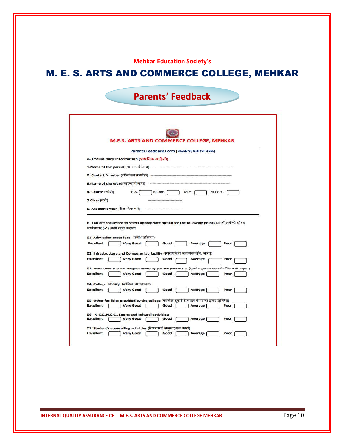#### **Mehkar Education Society's**

# M. E. S. ARTS AND COMMERCE COLLEGE, MEHKAR

| <b>Parents' Feedback</b> |  |
|--------------------------|--|
|                          |  |

|                                                          | Parents Feedback Form (पालक प्रत्याभरण पत्रक)                                                                                                                            |
|----------------------------------------------------------|--------------------------------------------------------------------------------------------------------------------------------------------------------------------------|
|                                                          | A. Preliminary Information (प्राथमिक माहिती)                                                                                                                             |
|                                                          | 1.Name of the parent (पालकाचे नाव) --------------------------------                                                                                                      |
|                                                          |                                                                                                                                                                          |
|                                                          |                                                                                                                                                                          |
|                                                          | 3.Name of the Ward(पाल्याचे नाव) (सामान स्थान स्थान स्थान स्थान)                                                                                                         |
| 4. Course (कोसे)                                         | B.Com.<br>B.A.<br>M.Com.<br><b>M.A.</b>                                                                                                                                  |
| 5.Class (वनी)                                            |                                                                                                                                                                          |
|                                                          | 5. Academic year (शैक्षणिक वर्ष)                                                                                                                                         |
|                                                          | B. You are requested to select appropriate option for the following points (खालीलपैकी योग्य<br>पर्यायावर (✔) अशी खण करावी<br>01. Admission procedure: (प्रवेश प्रक्रिया) |
| Excellent                                                | <b>Very Good</b><br>Poor<br>Good<br>Average                                                                                                                              |
|                                                          | 02. Infrastructure and Computer lab facility (संसाधने व संगणक लॅब. सोयी)                                                                                                 |
| <b>Excellent</b>                                         | <b>Very Good</b><br>Good<br>Average<br>Poor                                                                                                                              |
|                                                          | 03. Work Culture of the college observed by you and your Ward: (तुमचे व तुमच्या पाल्याचे कॉलेज कार्य अनुभव)                                                              |
|                                                          | <b>Very Good</b><br>Good<br>Average<br>Poor                                                                                                                              |
|                                                          | 04. College Library (कॉलेज वाचनालय)                                                                                                                                      |
|                                                          | <b>Very Good</b><br>Good<br>Average<br>Poor                                                                                                                              |
|                                                          | 05. Other facilities provided by the college (कॉलेज दवारे देण्यात येणाऱ्या इतर सविधा)                                                                                    |
| <b>Excellent</b><br><b>Excellent</b><br><b>Excellent</b> | <b>Very Good</b><br>Good<br>Average<br>Poor                                                                                                                              |
| <b>Excellent</b>                                         | 06. N.C.C., N.C.C., Sports and cultural activities:<br><b>Very Good</b><br>Good<br>Average                                                                               |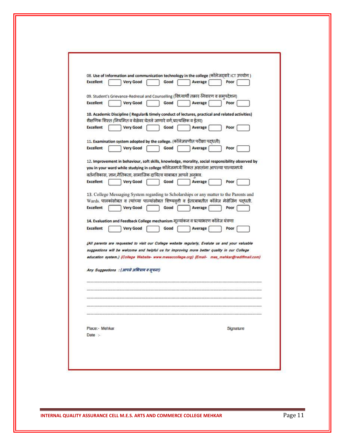|                  | 08. Use of Information and communication technology in the college (कॉलेजदवारे ICT उपयोग)         |
|------------------|---------------------------------------------------------------------------------------------------|
| <b>Excellent</b> | <b>Very Good</b><br>Average<br>Good<br>Poor                                                       |
|                  | 09. Student's Grievance-Redresal and Counselling (विध्यार्थी तक़ार-निवारण व समुपदेशन)             |
| <b>Excellent</b> | <b>Very Good</b><br>Good<br>Average<br>Poor                                                       |
|                  | 10. Academic Discipline (Regular& timely conduct of lectures, practical and related activities)   |
|                  | शैक्षणिक शिस्त (नियमित व वेळेवर घेतले जाणारे वर्ग,प्रात्यक्षिक व ईतर)                             |
| <b>Excellent</b> | <b>Very Good</b><br>Good<br>Average<br>Poor                                                       |
|                  | 11. Examination system adopted by the college. (कॉलेजप्रणीत परीक्षा पद्धती)                       |
| <b>Excellent</b> | <b>Very Good</b><br>Good<br>Average<br>Poor                                                       |
|                  | 12. Improvement in behaviour, soft skills, knowledge, morality, social responsibility observed by |
|                  | you in your ward while studying in college कॉलेजमध्ये शिकत असतांना आपल्या पाल्यामध्ये             |
|                  | वर्तनविकास, ज्ञान,नैतिकता, सामाजिक दायित्व याबाबत आपले अनुभव.                                     |
| <b>Excellent</b> | <b>Very Good</b><br>Good<br>Average<br>Poor                                                       |
|                  | 13. College Messaging System regarding to Scholarships or any matter to the Parents and           |
|                  | Wards. पालकांसोबत व त्यांच्या पाल्यांसोबत शिष्यवृती व ईतरबाबतीत कॉलेज मेसेजिंग पद्धती.            |
| <b>Excellent</b> | <b>Very Good</b><br>Good<br>Average<br>Poor                                                       |
|                  | 14. Evaluation and Feedback College mechanism मूल्यांकन व प्रत्याभरण कॉलेज यंत्रणा                |
| <b>Excellent</b> | <b>Very Good</b><br>Good<br>Average<br>Poor                                                       |
|                  | (All parents are requested to visit our College website regularly, Evalute us and your valuable   |
|                  | suggestions will be welcome and helpful us for improving more better quality in our College       |
|                  | education system.) {College Website- www.mesaccollege.org} {Email- mes_mehkar@rediffmail.com}     |
|                  |                                                                                                   |
|                  | Any Suggestions: (आपले अभिप्राय व सूचना)                                                          |
|                  |                                                                                                   |
|                  |                                                                                                   |
|                  |                                                                                                   |
|                  |                                                                                                   |
|                  |                                                                                                   |
| Place:- Mehkar   | Signature                                                                                         |
| Date :-          |                                                                                                   |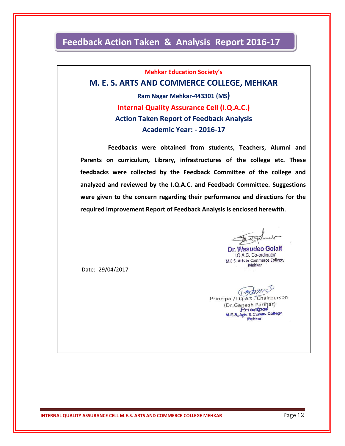### **Feedback Action Taken & Analysis Report 2016-17**

**Mehkar Education Society's**

#### **M. E. S. ARTS AND COMMERCE COLLEGE, MEHKAR**

**Ram Nagar Mehkar-443301 (MS) Internal Quality Assurance Cell (I.Q.A.C.) Action Taken Report of Feedback Analysis Academic Year: - 2016-17**

 **Feedbacks were obtained from students, Teachers, Alumni and Parents on curriculum, Library, infrastructures of the college etc. These feedbacks were collected by the Feedback Committee of the college and analyzed and reviewed by the I.Q.A.C. and Feedback Committee. Suggestions were given to the concern regarding their performance and directions for the required improvement Report of Feedback Analysis is enclosed herewith**.

Dr. Wasudeo Golait I.Q.A.C. Co-ordinator M.E.S. Arts & Commerce College, Mehkar

Date:- 29/04/2017

(*am* Principal/I.Q.A.C. Chairperson (Dr.Ganesh Parihar) Princtpal M.E.S.Agts & Comm. College **Mehkar**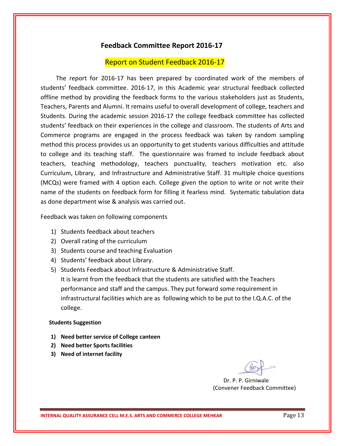#### **Feedback Committee Report 2016-17**

#### Report on Student Feedback 2016-17

 The report for 2016-17 has been prepared by coordinated work of the members of students' feedback committee. 2016-17, in this Academic year structural feedback collected offline method by providing the feedback forms to the various stakeholders just as Students, Teachers, Parents and Alumni. It remains useful to overall development of college, teachers and Students. During the academic session 2016-17 the college feedback committee has collected students' feedback on their experiences in the college and classroom. The students of Arts and Commerce programs are engaged in the process feedback was taken by random sampling method this process provides us an opportunity to get students various difficulties and attitude to college and its teaching staff. The questionnaire was framed to include feedback about teachers, teaching methodology, teachers punctuality, teachers motivation etc. also Curriculum, Library, and Infrastructure and Administrative Staff. 31 multiple choice questions (MCQs) were framed with 4 option each. College given the option to write or not write their name of the students on feedback form for filling it fearless mind. Systematic tabulation data as done department wise & analysis was carried out.

Feedback was taken on following components

- 1) Students feedback about teachers
- 2) Overall rating of the curriculum
- 3) Students course and teaching Evaluation
- 4) Students' feedback about Library.
- 5) Students Feedback about Infrastructure & Administrative Staff. It is learnt from the feedback that the students are satisfied with the Teachers performance and staff and the campus. They put forward some requirement in infrastructural facilities which are as following which to be put to the I.Q.A.C. of the college.

#### **Students Suggestion**

- **1) Need better service of College canteen**
- **2) Need better Sports facilities**
- **3) Need of internet facility**

 Dr. P. P. Girniwale (Convener Feedback Committee)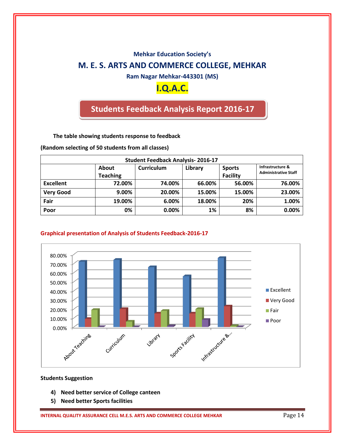### **Mehkar Education Society's M. E. S. ARTS AND COMMERCE COLLEGE, MEHKAR**

**Ram Nagar Mehkar-443301 (MS)**

### **I.Q.A.C.**

### **Students Feedback Analysis Report 2016-17**

**The table showing students response to feedback**

**(Random selecting of 50 students from all classes)**

| <b>Student Feedback Analysis-2016-17</b> |                                 |            |         |                                  |                                                 |  |
|------------------------------------------|---------------------------------|------------|---------|----------------------------------|-------------------------------------------------|--|
|                                          | <b>About</b><br><b>Teaching</b> | Curriculum | Library | <b>Sports</b><br><b>Facility</b> | Infrastructure &<br><b>Administrative Staff</b> |  |
| <b>Excellent</b>                         | 72.00%                          | 74.00%     | 66.00%  | 56.00%                           | 76.00%                                          |  |
| <b>Very Good</b>                         | 9.00%                           | 20.00%     | 15.00%  | 15.00%                           | 23.00%                                          |  |
| Fair                                     | 19.00%                          | 6.00%      | 18.00%  | 20%                              | 1.00%                                           |  |
| Poor                                     | 0%                              | $0.00\%$   | 1%      | 8%                               | 0.00%                                           |  |

#### **Graphical presentation of Analysis of Students Feedback-2016-17**



#### **Students Suggestion**

- **4) Need better service of College canteen**
- **5) Need better Sports facilities**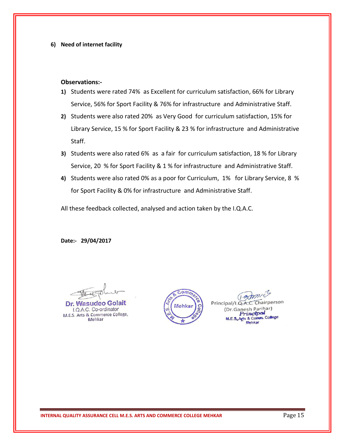#### **6) Need of internet facility**

#### **Observations:-**

- **1)** Students were rated 74% as Excellent for curriculum satisfaction, 66% for Library Service, 56% for Sport Facility & 76% for infrastructure and Administrative Staff.
- **2)** Students were also rated 20% as Very Good for curriculum satisfaction, 15% for Library Service, 15 % for Sport Facility & 23 % for infrastructure and Administrative Staff.
- **3)** Students were also rated 6% as a fair for curriculum satisfaction, 18 % for Library Service, 20 % for Sport Facility & 1 % for infrastructure and Administrative Staff.
- **4)** Students were also rated 0% as a poor for Curriculum, 1% for Library Service, 8 % for Sport Facility & 0% for infrastructure and Administrative Staff.

All these feedback collected, analysed and action taken by the I.Q.A.C.

**Date:- 29/04/2017**

Dr. Wasudeo Golai I.Q.A.C. Co-ordinator M.E.S. Arts & Commerce College, Mehkar



 $120$ Chairperson Principal/I.Q.A.C (Dr.Ganesh Parihar) rinctpal Agts & Comm. College Mehkar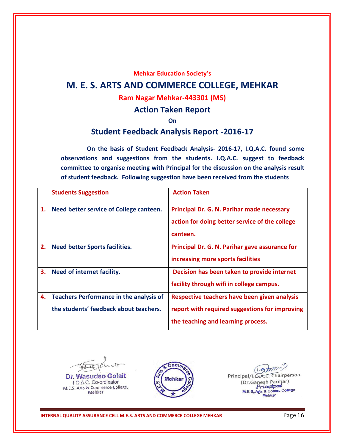#### **Mehkar Education Society's**

### **M. E. S. ARTS AND COMMERCE COLLEGE, MEHKAR**

### **Ram Nagar Mehkar-443301 (MS)**

#### **Action Taken Report**

**On**

#### **Student Feedback Analysis Report -2016-17**

 **On the basis of Student Feedback Analysis- 2016-17, I.Q.A.C. found some observations and suggestions from the students. I.Q.A.C. suggest to feedback committee to organise meeting with Principal for the discussion on the analysis result of student feedback. Following suggestion have been received from the students**

|    | <b>Students Suggestion</b>                     | <b>Action Taken</b>                            |
|----|------------------------------------------------|------------------------------------------------|
| 1. | Need better service of College canteen.        | Principal Dr. G. N. Parihar made necessary     |
|    |                                                | action for doing better service of the college |
|    |                                                | canteen.                                       |
| 2. | <b>Need better Sports facilities.</b>          | Principal Dr. G. N. Parihar gave assurance for |
|    |                                                | increasing more sports facilities              |
| 3. | Need of internet facility.                     | Decision has been taken to provide internet    |
|    |                                                | facility through wifi in college campus.       |
| 4. | <b>Teachers Performance in the analysis of</b> | Respective teachers have been given analysis   |
|    | the students' feedback about teachers.         | report with required suggestions for improving |
|    |                                                | the teaching and learning process.             |

 $4e$ Dr. Wasudeo Golait

I.Q.A.C. Co-ordinator M.E.S. Arts & Commerce College, Mehkar



 $0$ Principal/I.Q.A.C. Chairperson (Dr.Ganesh Parihar) Princtpot M.E.S.Agts & Comm. College Mehkar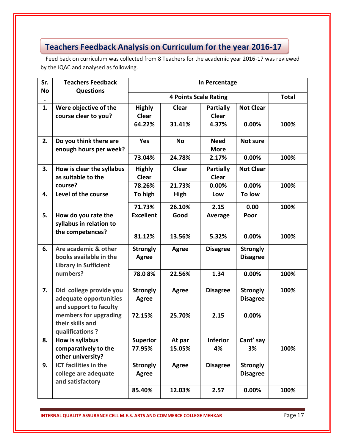### **Teachers Feedback Analysis on Curriculum for the year 2016-17**

 Feed back on curriculum was collected from 8 Teachers for the academic year 2016-17 was reviewed by the IQAC and analysed as following.

| Sr.       | <b>Teachers Feedback</b>                                                                   | In Percentage                   |              |                            |                                    |      |  |  |
|-----------|--------------------------------------------------------------------------------------------|---------------------------------|--------------|----------------------------|------------------------------------|------|--|--|
| <b>No</b> | <b>Questions</b>                                                                           |                                 | <b>Total</b> |                            |                                    |      |  |  |
| 1.        | Were objective of the<br>course clear to you?                                              | <b>Highly</b><br><b>Clear</b>   | Clear        | Partially<br><b>Clear</b>  | <b>Not Clear</b>                   |      |  |  |
|           |                                                                                            | 64.22%                          | 31.41%       | 4.37%                      | 0.00%                              | 100% |  |  |
| 2.        | Do you think there are<br>enough hours per week?                                           | <b>Yes</b>                      | <b>No</b>    | <b>Need</b><br><b>More</b> | Not sure                           |      |  |  |
|           |                                                                                            | 73.04%                          | 24.78%       | 2.17%                      | 0.00%                              | 100% |  |  |
| 3.        | How is clear the syllabus<br>as suitable to the                                            | <b>Highly</b><br><b>Clear</b>   | Clear        | Partially<br><b>Clear</b>  | <b>Not Clear</b>                   |      |  |  |
|           | course?                                                                                    | 78.26%                          | 21.73%       | 0.00%                      | 0.00%                              | 100% |  |  |
| 4.        | Level of the course                                                                        | To high                         | High         | Low                        | To low                             |      |  |  |
|           |                                                                                            | 71.73%                          | 26.10%       | 2.15                       | 0.00                               | 100% |  |  |
| 5.        | How do you rate the<br>syllabus in relation to<br>the competences?                         | <b>Excellent</b>                | Good         | Average                    | Poor                               |      |  |  |
|           |                                                                                            | 81.12%                          | 13.56%       | 5.32%                      | 0.00%                              | 100% |  |  |
| 6.        | Are academic & other<br>books available in the<br><b>Library in Sufficient</b><br>numbers? | <b>Strongly</b><br><b>Agree</b> | <b>Agree</b> | <b>Disagree</b>            | <b>Strongly</b><br><b>Disagree</b> |      |  |  |
|           |                                                                                            | 78.08%                          | 22.56%       | 1.34                       | 0.00%                              | 100% |  |  |
| 7.        | Did college provide you<br>adequate opportunities<br>and support to faculty                | <b>Strongly</b><br><b>Agree</b> | <b>Agree</b> | <b>Disagree</b>            | <b>Strongly</b><br><b>Disagree</b> | 100% |  |  |
|           | members for upgrading<br>their skills and<br>qualifications?                               | 72.15%                          | 25.70%       | 2.15                       | 0.00%                              |      |  |  |
| 8.        | How is syllabus                                                                            | <b>Superior</b>                 | At par       | <b>Inferior</b>            | Cant' say                          |      |  |  |
|           | comparatively to the<br>other university?                                                  | 77.95%                          | 15.05%       | 4%                         | 3%                                 | 100% |  |  |
| 9.        | <b>ICT facilities in the</b><br>college are adequate<br>and satisfactory                   | <b>Strongly</b><br><b>Agree</b> | Agree        | <b>Disagree</b>            | <b>Strongly</b><br><b>Disagree</b> |      |  |  |
|           |                                                                                            | 85.40%                          | 12.03%       | 2.57                       | 0.00%                              | 100% |  |  |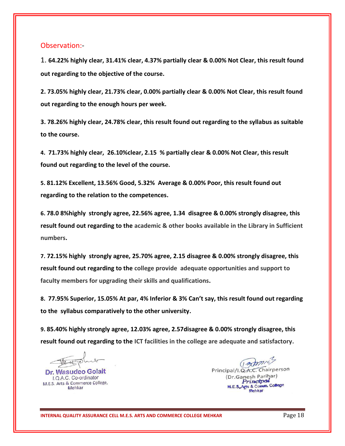#### Observation:-

1. **64.22% highly clear, 31.41% clear, 4.37% partially clear & 0.00% Not Clear, this result found out regarding to the objective of the course.**

**2. 73.05% highly clear, 21.73% clear, 0.00% partially clear & 0.00% Not Clear, this result found out regarding to the enough hours per week.**

**3. 78.26% highly clear, 24.78% clear, this result found out regarding to the syllabus as suitable to the course.**

**4. 71.73% highly clear, 26.10%clear, 2.15 % partially clear & 0.00% Not Clear, this result found out regarding to the level of the course.**

**5. 81.12% Excellent, 13.56% Good, 5.32% Average & 0.00% Poor, this result found out regarding to the relation to the competences.**

**6. 78.0 8%highly strongly agree, 22.56% agree, 1.34 disagree & 0.00% strongly disagree, this result found out regarding to the academic & other books available in the Library in Sufficient numbers.**

**7. 72.15% highly strongly agree, 25.70% agree, 2.15 disagree & 0.00% strongly disagree, this result found out regarding to the college provide adequate opportunities and support to faculty members for upgrading their skills and qualifications.**

**8. 77.95% Superior, 15.05% At par, 4% Inferior & 3% Can't say, this result found out regarding to the syllabus comparatively to the other university.** 

**9. 85.40% highly strongly agree, 12.03% agree, 2.57disagree & 0.00% strongly disagree, this result found out regarding to the ICT facilities in the college are adequate and satisfactory.** 

lette

Dr. Wasudeo Golait I.Q.A.C. Co-ordinator M.E.S. Arts & Commerce College, Mehkar

Tamis Principal/I.Q.A.C. Chairperson (Dr.Ganesh Parihar) Princtpot Agts & Comm College Mehkar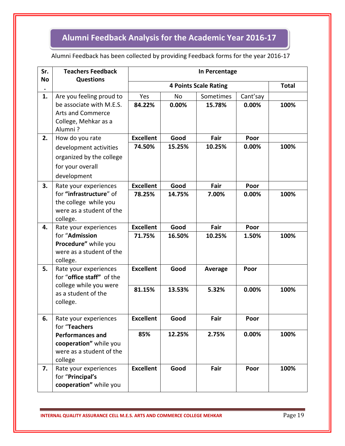# **Alumni Feedback Analysis for the Academic Year 2016-17**

#### Alumni Feedback has been collected by providing Feedback forms for the year 2016-17

| Sr.<br><b>No</b> | <b>Teachers Feedback</b><br><b>Questions</b>        | In Percentage    |              |                |          |      |  |
|------------------|-----------------------------------------------------|------------------|--------------|----------------|----------|------|--|
|                  |                                                     |                  | <b>Total</b> |                |          |      |  |
| 1.               | Are you feeling proud to                            | Yes              | <b>No</b>    | Sometimes      | Cant'say |      |  |
|                  | be associate with M.E.S.                            | 84.22%           | 0.00%        | 15.78%         | 0.00%    | 100% |  |
|                  | <b>Arts and Commerce</b>                            |                  |              |                |          |      |  |
|                  | College, Mehkar as a<br>Alumni?                     |                  |              |                |          |      |  |
| 2.               | How do you rate                                     | <b>Excellent</b> | Good         | Fair           | Poor     |      |  |
|                  | development activities                              | 74.50%           | 15.25%       | 10.25%         | 0.00%    | 100% |  |
|                  | organized by the college                            |                  |              |                |          |      |  |
|                  | for your overall                                    |                  |              |                |          |      |  |
|                  | development                                         |                  |              |                |          |      |  |
| 3.               | Rate your experiences                               | <b>Excellent</b> | Good         | Fair           | Poor     |      |  |
|                  | for "infrastructure" of                             | 78.25%           | 14.75%       | 7.00%          | 0.00%    | 100% |  |
|                  | the college while you<br>were as a student of the   |                  |              |                |          |      |  |
|                  | college.                                            |                  |              |                |          |      |  |
| 4.               | Rate your experiences                               | <b>Excellent</b> | Good         | Fair           | Poor     |      |  |
|                  | for "Admission                                      | 71.75%           | 16.50%       | 10.25%         | 1.50%    | 100% |  |
|                  | Procedure" while you                                |                  |              |                |          |      |  |
|                  | were as a student of the<br>college.                |                  |              |                |          |      |  |
| 5.               | Rate your experiences                               | <b>Excellent</b> | Good         | <b>Average</b> | Poor     |      |  |
|                  | for "office staff" of the<br>college while you were |                  |              |                |          |      |  |
|                  |                                                     | 81.15%           | 13.53%       | 5.32%          | 0.00%    | 100% |  |
|                  | as a student of the<br>college.                     |                  |              |                |          |      |  |
|                  |                                                     |                  |              |                |          |      |  |
| 6.               | Rate your experiences<br>for "Teachers              | <b>Excellent</b> | Good         | Fair           | Poor     |      |  |
|                  |                                                     |                  |              |                |          |      |  |
|                  | <b>Performances and</b>                             | 85%              | 12.25%       | 2.75%          | 0.00%    | 100% |  |
|                  | cooperation" while you<br>were as a student of the  |                  |              |                |          |      |  |
|                  | college                                             |                  |              |                |          |      |  |
| 7.               | Rate your experiences                               | <b>Excellent</b> | Good         | Fair           | Poor     | 100% |  |
|                  | for "Principal's                                    |                  |              |                |          |      |  |
|                  | cooperation" while you                              |                  |              |                |          |      |  |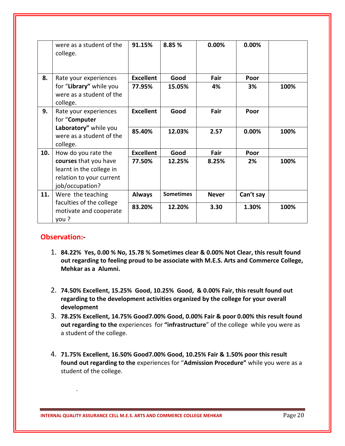|     | were as a student of the<br>college.                                                             | 91.15%           | 8.85%            | 0.00%        | 0.00%     |      |
|-----|--------------------------------------------------------------------------------------------------|------------------|------------------|--------------|-----------|------|
| 8.  | Rate your experiences                                                                            | <b>Excellent</b> | Good             | Fair         | Poor      |      |
|     | for "Library" while you<br>were as a student of the<br>college.                                  | 77.95%           | 15.05%           | 4%           | 3%        | 100% |
| 9.  | Rate your experiences<br>for "Computer                                                           | <b>Excellent</b> | Good             | Fair         | Poor      |      |
|     | Laboratory" while you<br>were as a student of the<br>college.                                    | 85.40%           | 12.03%           | 2.57         | 0.00%     | 100% |
| 10. | How do you rate the                                                                              | <b>Excellent</b> | Good             | Fair         | Poor      |      |
|     | courses that you have<br>learnt in the college in<br>relation to your current<br>job/occupation? | 77.50%           | 12.25%           | 8.25%        | 2%        | 100% |
| 11. | Were the teaching                                                                                | <b>Always</b>    | <b>Sometimes</b> | <b>Never</b> | Can't say |      |
|     | faculties of the college<br>motivate and cooperate<br>you?                                       | 83.20%           | 12.20%           | 3.30         | 1.30%     | 100% |

#### **Observation:-**

.

- 1. **84.22% Yes, 0.00 % No, 15.78 % Sometimes clear & 0.00% Not Clear, this result found out regarding to feeling proud to be associate with M.E.S. Arts and Commerce College, Mehkar as a Alumni.**
- 2. **74.50% Excellent, 15.25% Good, 10.25% Good, & 0.00% Fair, this result found out regarding to the development activities organized by the college for your overall development**
- 3. **78.25% Excellent, 14.75% Good7.00% Good, 0.00% Fair & poor 0.00% this result found out regarding to the** experiences for **"infrastructure**" of the college while you were as a student of the college.
- 4. **71.75% Excellent, 16.50% Good7.00% Good, 10.25% Fair & 1.50% poor this result found out regarding to the** experiences for "**Admission Procedure"** while you were as a student of the college.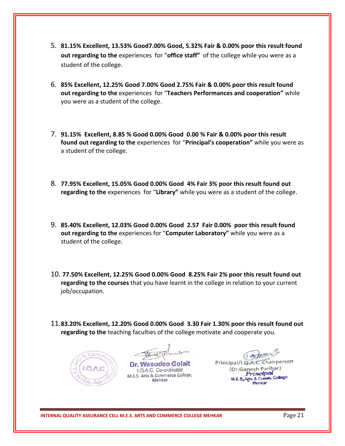- 5. **81.15% Excellent, 13.53% Good7.00% Good, 5.32% Fair & 0.00% poor this result found out regarding to the** experiences for "**office staff"** of the college while you were as a student of the college.
- 6. **85% Excellent, 12.25% Good 7.00% Good 2.75% Fair & 0.00% poor this result found out regarding to the** experiences for "**Teachers Performances and cooperation"** while you were as a student of the college.
- 7. **91.15% Excellent, 8.85 % Good 0.00% Good 0.00 % Fair & 0.00% poor this result found out regarding to the** experiences for "**Principal's cooperation"** while you were as a student of the college.
- 8. **77.95% Excellent, 15.05% Good 0.00% Good 4% Fair 3% poor this result found out regarding to the** experiences for "**Library"** while you were as a student of the college.
- 9. **85.40% Excellent, 12.03% Good 0.00% Good 2.57 Fair 0.00% poor this result found out regarding to the** experiences for "**Computer Laboratory"** while you were as a student of the college.
- 10. **77.50% Excellent, 12.25% Good 0.00% Good 8.25% Fair 2% poor this result found out regarding to the courses** that you have learnt in the college in relation to your current job/occupation.
- 11.**83.20% Excellent, 12.20% Good 0.00% Good 3.30 Fair 1.30% poor this result found out regarding to the** teaching faculties of the college motivate and cooperate you.



Dr. Wasudeo Golait I.Q.A.C. Co-ordinator M.E.S. Arts & Commerce College, Mehkar

 $(1 - 37)$ Chairperson Principal/I.Q.A.C. (Dr.Ganesh Parihar) Princtpot Agts & Comm. College Mehkar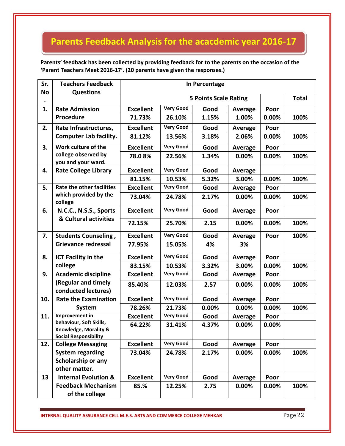# **Parents Feedback Analysis for the acacdemic year 2016-17**

**Parents' feedback has been collected by providing feedback for to the parents on the occasion of the 'Parent Teachers Meet 2016-17'. (20 parents have given the responses.)** 

| Sr.<br><b>No</b> | <b>Teachers Feedback</b><br><b>Questions</b>                                                       | In Percentage                |                  |       |                |       |      |
|------------------|----------------------------------------------------------------------------------------------------|------------------------------|------------------|-------|----------------|-------|------|
|                  |                                                                                                    | <b>5 Points Scale Rating</b> |                  |       |                |       |      |
| 1.               | <b>Rate Admission</b>                                                                              | <b>Excellent</b>             | <b>Very Good</b> | Good  | <b>Average</b> | Poor  |      |
|                  | Procedure                                                                                          | 71.73%                       | 26.10%           | 1.15% | 1.00%          | 0.00% | 100% |
| 2.               | Rate Infrastructures,                                                                              | <b>Excellent</b>             | <b>Very Good</b> | Good  | Average        | Poor  |      |
|                  | <b>Computer Lab facility.</b>                                                                      | 81.12%                       | 13.56%           | 3.18% | 2.06%          | 0.00% | 100% |
| 3.               | Work culture of the                                                                                | <b>Excellent</b>             | <b>Very Good</b> | Good  | <b>Average</b> | Poor  |      |
|                  | college observed by<br>you and your ward.                                                          | 78.08%                       | 22.56%           | 1.34% | 0.00%          | 0.00% | 100% |
| 4.               | <b>Rate College Library</b>                                                                        | <b>Excellent</b>             | <b>Very Good</b> | Good  | <b>Average</b> |       |      |
|                  |                                                                                                    | 81.15%                       | 10.53%           | 5.32% | 3.00%          | 0.00% | 100% |
| 5.               | <b>Rate the other facilities</b><br>which provided by the<br>college                               | <b>Excellent</b>             | <b>Very Good</b> | Good  | <b>Average</b> | Poor  |      |
|                  |                                                                                                    | 73.04%                       | 24.78%           | 2.17% | 0.00%          | 0.00% | 100% |
| 6.               | N.C.C., N.S.S., Sports<br>& Cultural activities                                                    | <b>Excellent</b>             | <b>Very Good</b> | Good  | <b>Average</b> | Poor  |      |
|                  |                                                                                                    | 72.15%                       | 25.70%           | 2.15  | 0.00%          | 0.00% | 100% |
| 7.               | <b>Students Counseling,</b>                                                                        | <b>Excellent</b>             | <b>Very Good</b> | Good  | <b>Average</b> | Poor  | 100% |
|                  | <b>Grievance redressal</b>                                                                         | 77.95%                       | 15.05%           | 4%    | 3%             |       |      |
| 8.               | <b>ICT Facility in the</b>                                                                         | <b>Excellent</b>             | <b>Very Good</b> | Good  | Average        | Poor  |      |
|                  | college                                                                                            | 83.15%                       | 10.53%           | 3.32% | 3.00%          | 0.00% | 100% |
| 9.               | <b>Academic discipline</b>                                                                         | <b>Excellent</b>             | <b>Very Good</b> | Good  | Average        | Poor  |      |
|                  | (Regular and timely<br>conducted lectures)                                                         | 85.40%                       | 12.03%           | 2.57  | 0.00%          | 0.00% | 100% |
| 10.              | <b>Rate the Examination</b>                                                                        | <b>Excellent</b>             | <b>Very Good</b> | Good  | Average        | Poor  |      |
|                  | <b>System</b>                                                                                      | 78.26%                       | 21.73%           | 0.00% | 0.00%          | 0.00% | 100% |
| 11.              | Improvement in<br>behaviour, Soft Skills,<br>Knowledge, Morality &<br><b>Social Responsibility</b> | <b>Excellent</b>             | <b>Very Good</b> | Good  | <b>Average</b> | Poor  |      |
|                  |                                                                                                    | 64.22%                       | 31.41%           | 4.37% | 0.00%          | 0.00% |      |
| 12.              | <b>College Messaging</b>                                                                           | <b>Excellent</b>             | <b>Very Good</b> | Good  | <b>Average</b> | Poor  |      |
|                  | <b>System regarding</b>                                                                            | 73.04%                       | 24.78%           | 2.17% | 0.00%          | 0.00% | 100% |
|                  | Scholarship or any                                                                                 |                              |                  |       |                |       |      |
|                  | other matter.                                                                                      |                              |                  |       |                |       |      |
| 13               | <b>Internal Evolution &amp;</b>                                                                    | <b>Excellent</b>             | <b>Very Good</b> | Good  | <b>Average</b> | Poor  |      |
|                  | <b>Feedback Mechanism</b><br>of the college                                                        | 85.%                         | 12.25%           | 2.75  | 0.00%          | 0.00% | 100% |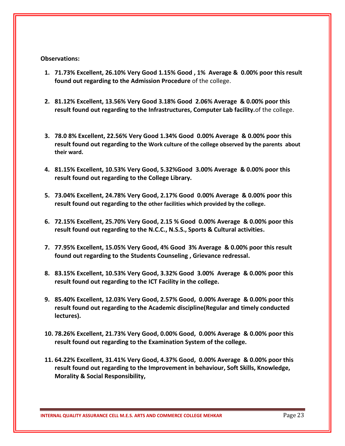#### **Observations:**

- **1. 71.73% Excellent, 26.10% Very Good 1.15% Good , 1% Average & 0.00% poor this result found out regarding to the Admission Procedure** of the college.
- **2. 81.12% Excellent, 13.56% Very Good 3.18% Good 2.06% Average & 0.00% poor this result found out regarding to the Infrastructures, Computer Lab facility.**of the college.
- **3. 78.0 8% Excellent, 22.56% Very Good 1.34% Good 0.00% Average & 0.00% poor this result found out regarding to the Work culture of the college observed by the parents about their ward.**
- **4. 81.15% Excellent, 10.53% Very Good, 5.32%Good 3.00% Average & 0.00% poor this result found out regarding to the College Library.**
- **5. 73.04% Excellent, 24.78% Very Good, 2.17% Good 0.00% Average & 0.00% poor this result found out regarding to the other facilities which provided by the college.**
- **6. 72.15% Excellent, 25.70% Very Good, 2.15 % Good 0.00% Average & 0.00% poor this result found out regarding to the N.C.C., N.S.S., Sports & Cultural activities.**
- **7. 77.95% Excellent, 15.05% Very Good, 4% Good 3% Average & 0.00% poor this result found out regarding to the Students Counseling , Grievance redressal.**
- **8. 83.15% Excellent, 10.53% Very Good, 3.32% Good 3.00% Average & 0.00% poor this result found out regarding to the ICT Facility in the college.**
- **9. 85.40% Excellent, 12.03% Very Good, 2.57% Good, 0.00% Average & 0.00% poor this result found out regarding to the Academic discipline(Regular and timely conducted lectures).**
- **10. 78.26% Excellent, 21.73% Very Good, 0.00% Good, 0.00% Average & 0.00% poor this result found out regarding to the Examination System of the college.**
- **11. 64.22% Excellent, 31.41% Very Good, 4.37% Good, 0.00% Average & 0.00% poor this result found out regarding to the Improvement in behaviour, Soft Skills, Knowledge, Morality & Social Responsibility,**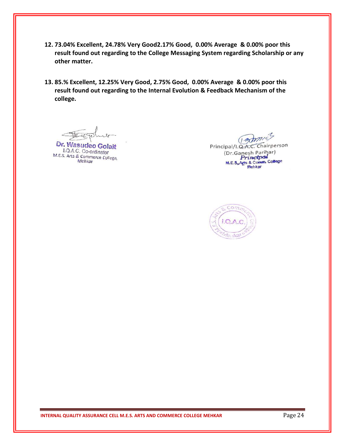- **12. 73.04% Excellent, 24.78% Very Good2.17% Good, 0.00% Average & 0.00% poor this result found out regarding to the College Messaging System regarding Scholarship or any other matter.**
- **13. 85.% Excellent, 12.25% Very Good, 2.75% Good, 0.00% Average & 0.00% poor this result found out regarding to the Internal Evolution & Feedback Mechanism of the college.**

Dr. Wasudeo Golait

I.Q.A.C. Co-ordinator M.E.S. Arts & Commerce College, Mehkar

(Bamic) Principal/I.Q.A.C. Chairperson (Dr.Ganesh Parihar) Princtpal M.E.S. Arts & Comm. College Mehkar